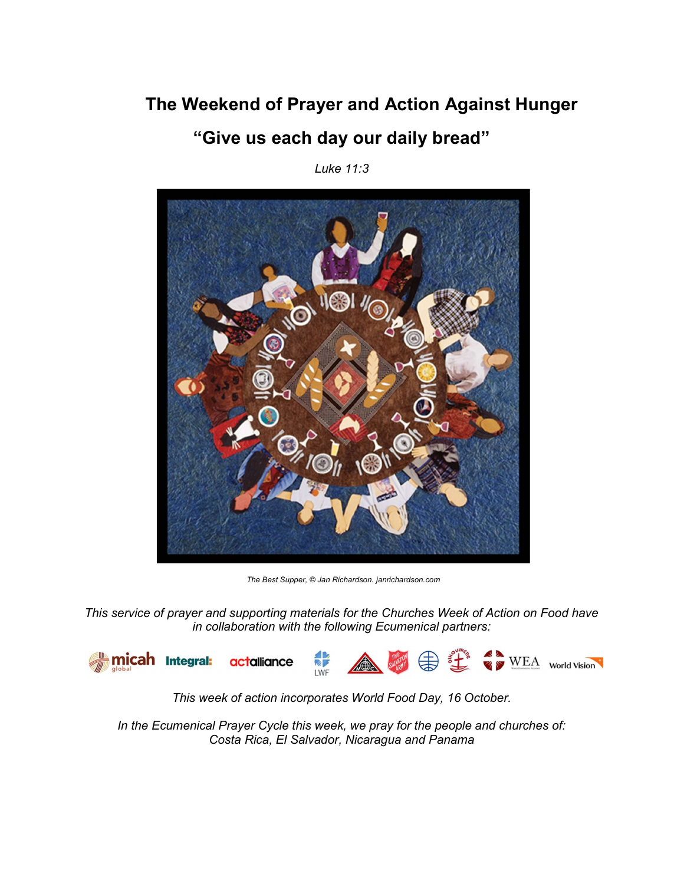# The Weekend of Prayer and Action Against Hunger "Give us each day our daily bread"

Luke 11:3



The Best Supper, © Jan Richardson. janrichardson.com

This service of prayer and supporting materials for the Churches Week of Action on Food have in collaboration with the following Ecumenical partners:



This week of action incorporates World Food Day, 16 October.

In the Ecumenical Prayer Cycle this week, we pray for the people and churches of: Costa Rica, El Salvador, Nicaragua and Panama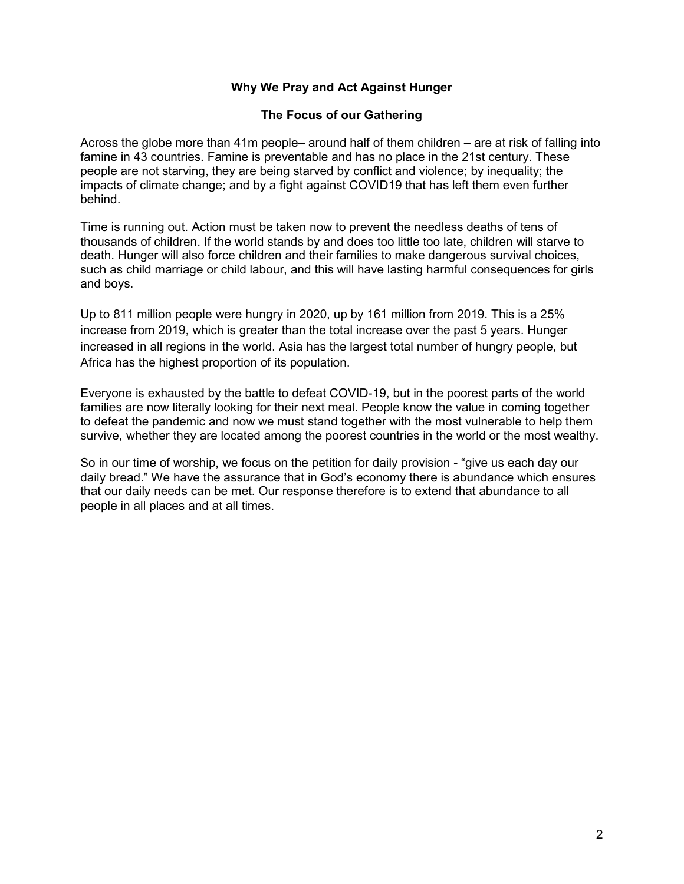## Why We Pray and Act Against Hunger

### The Focus of our Gathering

Across the globe more than 41m people– around half of them children – are at risk of falling into famine in 43 countries. Famine is preventable and has no place in the 21st century. These people are not starving, they are being starved by conflict and violence; by inequality; the impacts of climate change; and by a fight against COVID19 that has left them even further behind.

Time is running out. Action must be taken now to prevent the needless deaths of tens of thousands of children. If the world stands by and does too little too late, children will starve to death. Hunger will also force children and their families to make dangerous survival choices, such as child marriage or child labour, and this will have lasting harmful consequences for girls and boys.

Up to 811 million people were hungry in 2020, up by 161 million from 2019. This is a 25% increase from 2019, which is greater than the total increase over the past 5 years. Hunger increased in all regions in the world. Asia has the largest total number of hungry people, but Africa has the highest proportion of its population.

Everyone is exhausted by the battle to defeat COVID-19, but in the poorest parts of the world families are now literally looking for their next meal. People know the value in coming together to defeat the pandemic and now we must stand together with the most vulnerable to help them survive, whether they are located among the poorest countries in the world or the most wealthy.

So in our time of worship, we focus on the petition for daily provision - "give us each day our daily bread." We have the assurance that in God's economy there is abundance which ensures that our daily needs can be met. Our response therefore is to extend that abundance to all people in all places and at all times.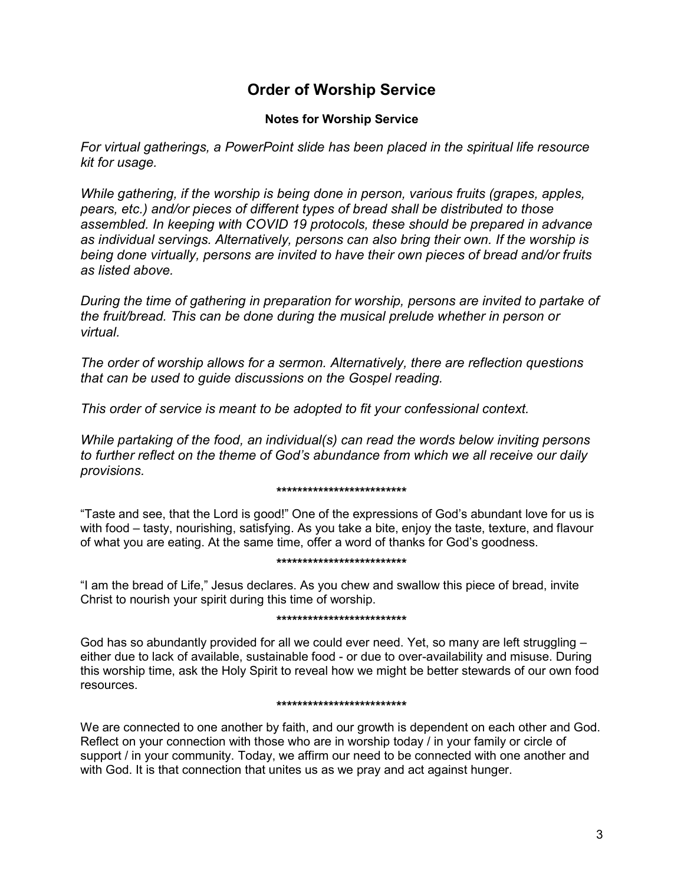# Order of Worship Service

### Notes for Worship Service

For virtual gatherings, a PowerPoint slide has been placed in the spiritual life resource kit for usage.

While gathering, if the worship is being done in person, various fruits (grapes, apples, pears, etc.) and/or pieces of different types of bread shall be distributed to those assembled. In keeping with COVID 19 protocols, these should be prepared in advance as individual servings. Alternatively, persons can also bring their own. If the worship is being done virtually, persons are invited to have their own pieces of bread and/or fruits as listed above.

During the time of gathering in preparation for worship, persons are invited to partake of the fruit/bread. This can be done during the musical prelude whether in person or virtual.

The order of worship allows for a sermon. Alternatively, there are reflection questions that can be used to guide discussions on the Gospel reading.

This order of service is meant to be adopted to fit your confessional context.

While partaking of the food, an individual(s) can read the words below inviting persons to further reflect on the theme of God's abundance from which we all receive our daily provisions.

#### \*\*\*\*\*\*\*\*\*\*\*\*\*\*\*\*\*\*\*\*\*\*\*\*\*

"Taste and see, that the Lord is good!" One of the expressions of God's abundant love for us is with food – tasty, nourishing, satisfying. As you take a bite, enjoy the taste, texture, and flavour of what you are eating. At the same time, offer a word of thanks for God's goodness.

### \*\*\*\*\*\*\*\*\*\*\*\*\*\*\*\*\*\*\*\*\*\*\*\*\*

"I am the bread of Life," Jesus declares. As you chew and swallow this piece of bread, invite Christ to nourish your spirit during this time of worship.

#### \*\*\*\*\*\*\*\*\*\*\*\*\*\*\*\*\*\*\*\*\*\*\*\*\*

God has so abundantly provided for all we could ever need. Yet, so many are left struggling – either due to lack of available, sustainable food - or due to over-availability and misuse. During this worship time, ask the Holy Spirit to reveal how we might be better stewards of our own food resources.

#### \*\*\*\*\*\*\*\*\*\*\*\*\*\*\*\*\*\*\*\*\*\*\*\*\*

We are connected to one another by faith, and our growth is dependent on each other and God. Reflect on your connection with those who are in worship today / in your family or circle of support / in your community. Today, we affirm our need to be connected with one another and with God. It is that connection that unites us as we pray and act against hunger.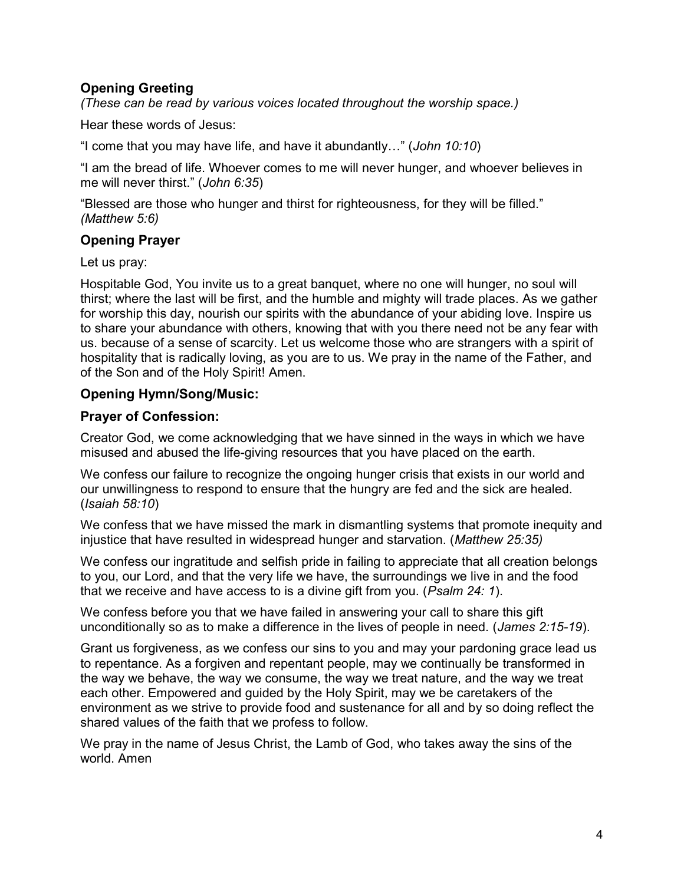# Opening Greeting

(These can be read by various voices located throughout the worship space.)

Hear these words of Jesus:

"I come that you may have life, and have it abundantly…" (John 10:10)

"I am the bread of life. Whoever comes to me will never hunger, and whoever believes in me will never thirst." (John 6:35)

"Blessed are those who hunger and thirst for righteousness, for they will be filled." (Matthew 5:6)

# Opening Prayer

Let us pray:

Hospitable God, You invite us to a great banquet, where no one will hunger, no soul will thirst; where the last will be first, and the humble and mighty will trade places. As we gather for worship this day, nourish our spirits with the abundance of your abiding love. Inspire us to share your abundance with others, knowing that with you there need not be any fear with us. because of a sense of scarcity. Let us welcome those who are strangers with a spirit of hospitality that is radically loving, as you are to us. We pray in the name of the Father, and of the Son and of the Holy Spirit! Amen.

# Opening Hymn/Song/Music:

# Prayer of Confession:

Creator God, we come acknowledging that we have sinned in the ways in which we have misused and abused the life-giving resources that you have placed on the earth.

We confess our failure to recognize the ongoing hunger crisis that exists in our world and our unwillingness to respond to ensure that the hungry are fed and the sick are healed. (Isaiah 58:10)

We confess that we have missed the mark in dismantling systems that promote inequity and injustice that have resulted in widespread hunger and starvation. (Matthew 25:35)

We confess our ingratitude and selfish pride in failing to appreciate that all creation belongs to you, our Lord, and that the very life we have, the surroundings we live in and the food that we receive and have access to is a divine gift from you. (Psalm 24: 1).

We confess before you that we have failed in answering your call to share this gift unconditionally so as to make a difference in the lives of people in need. (James 2:15-19).

Grant us forgiveness, as we confess our sins to you and may your pardoning grace lead us to repentance. As a forgiven and repentant people, may we continually be transformed in the way we behave, the way we consume, the way we treat nature, and the way we treat each other. Empowered and guided by the Holy Spirit, may we be caretakers of the environment as we strive to provide food and sustenance for all and by so doing reflect the shared values of the faith that we profess to follow.

We pray in the name of Jesus Christ, the Lamb of God, who takes away the sins of the world. Amen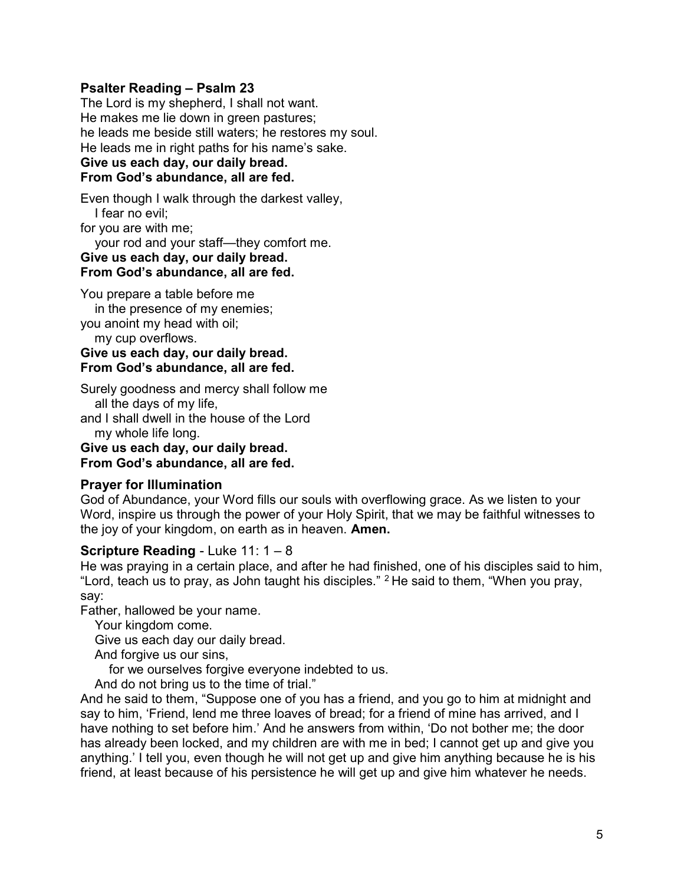## Psalter Reading – Psalm 23

The Lord is my shepherd, I shall not want. He makes me lie down in green pastures; he leads me beside still waters; he restores my soul. He leads me in right paths for his name's sake. Give us each day, our daily bread. From God's abundance, all are fed.

Even though I walk through the darkest valley, I fear no evil;

for you are with me;

your rod and your staff—they comfort me.

### Give us each day, our daily bread. From God's abundance, all are fed.

You prepare a table before me

 in the presence of my enemies; you anoint my head with oil;

my cup overflows.

Give us each day, our daily bread. From God's abundance, all are fed.

Surely goodness and mercy shall follow me all the days of my life,

and I shall dwell in the house of the Lord my whole life long.

Give us each day, our daily bread. From God's abundance, all are fed.

### Prayer for Illumination

God of Abundance, your Word fills our souls with overflowing grace. As we listen to your Word, inspire us through the power of your Holy Spirit, that we may be faithful witnesses to the joy of your kingdom, on earth as in heaven. **Amen.** 

# **Scripture Reading - Luke 11: 1 – 8**

He was praying in a certain place, and after he had finished, one of his disciples said to him, "Lord, teach us to pray, as John taught his disciples." <sup>2</sup>He said to them, "When you pray, say:

Father, hallowed be your name.

Your kingdom come.

Give us each day our daily bread.

And forgive us our sins,

for we ourselves forgive everyone indebted to us.

And do not bring us to the time of trial."

And he said to them, "Suppose one of you has a friend, and you go to him at midnight and say to him, 'Friend, lend me three loaves of bread; for a friend of mine has arrived, and I have nothing to set before him.' And he answers from within, 'Do not bother me; the door has already been locked, and my children are with me in bed; I cannot get up and give you anything.' I tell you, even though he will not get up and give him anything because he is his friend, at least because of his persistence he will get up and give him whatever he needs.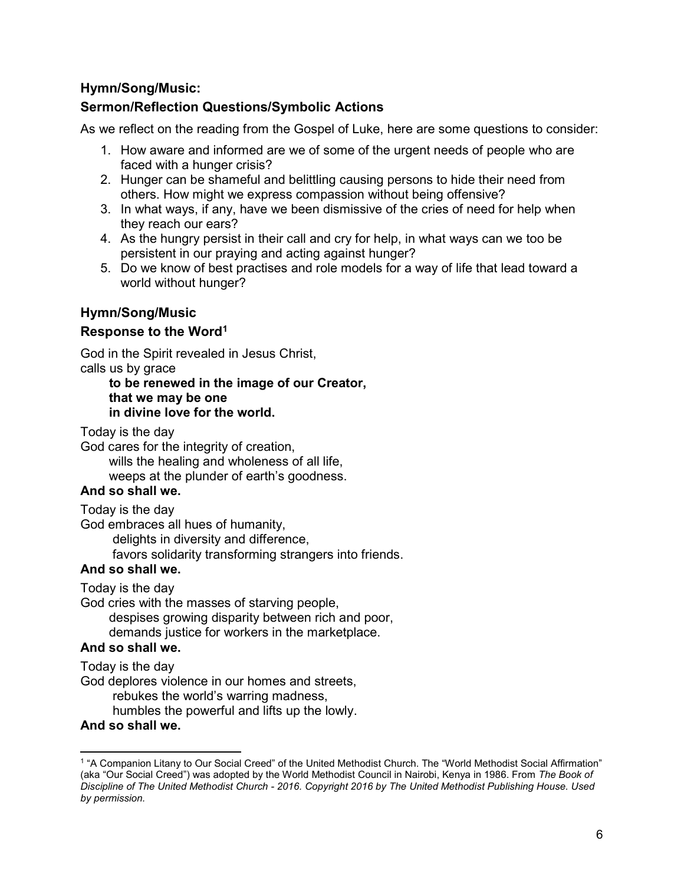# Hymn/Song/Music:

# Sermon/Reflection Questions/Symbolic Actions

As we reflect on the reading from the Gospel of Luke, here are some questions to consider:

- 1. How aware and informed are we of some of the urgent needs of people who are faced with a hunger crisis?
- 2. Hunger can be shameful and belittling causing persons to hide their need from others. How might we express compassion without being offensive?
- 3. In what ways, if any, have we been dismissive of the cries of need for help when they reach our ears?
- 4. As the hungry persist in their call and cry for help, in what ways can we too be persistent in our praying and acting against hunger?
- 5. Do we know of best practises and role models for a way of life that lead toward a world without hunger?

# Hymn/Song/Music

# Response to the Word<sup>1</sup>

God in the Spirit revealed in Jesus Christ, calls us by grace

### to be renewed in the image of our Creator, that we may be one in divine love for the world.

Today is the day

God cares for the integrity of creation, wills the healing and wholeness of all life, weeps at the plunder of earth's goodness.

# And so shall we.

Today is the day

God embraces all hues of humanity,

delights in diversity and difference,

favors solidarity transforming strangers into friends.

### And so shall we.

Today is the day

God cries with the masses of starving people, despises growing disparity between rich and poor, demands justice for workers in the marketplace.

# And so shall we.

Today is the day

God deplores violence in our homes and streets,

rebukes the world's warring madness,

humbles the powerful and lifts up the lowly.

### And so shall we.

 $\overline{a}$ 

<sup>&</sup>lt;sup>1</sup> "A Companion Litany to Our Social Creed" of the United Methodist Church. The "World Methodist Social Affirmation" (aka "Our Social Creed") was adopted by the World Methodist Council in Nairobi, Kenya in 1986. From The Book of Discipline of The United Methodist Church - 2016. Copyright 2016 by The United Methodist Publishing House. Used by permission.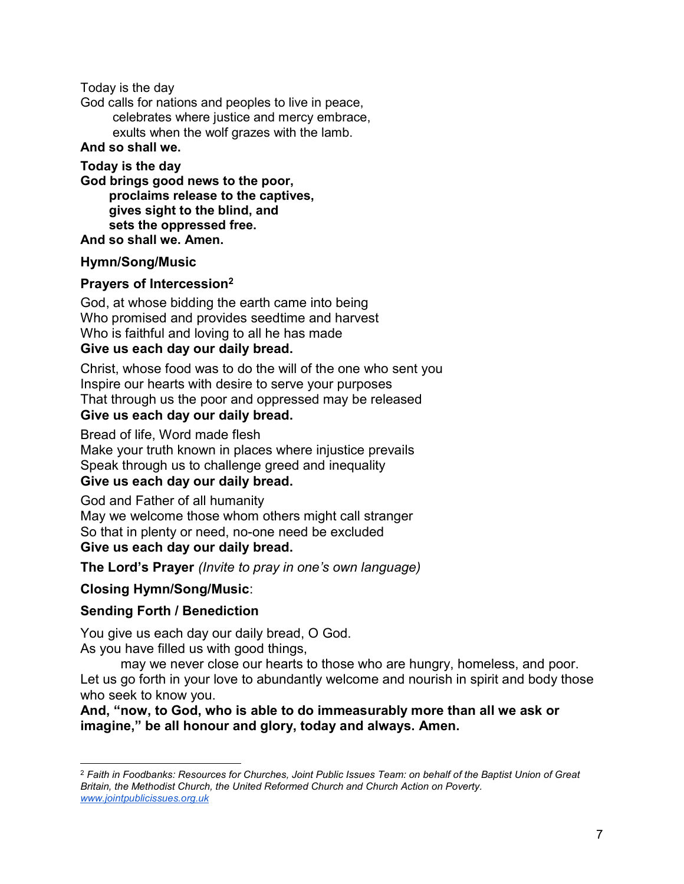Today is the day

God calls for nations and peoples to live in peace,

 celebrates where justice and mercy embrace, exults when the wolf grazes with the lamb.

# And so shall we.

Today is the day God brings good news to the poor, proclaims release to the captives, gives sight to the blind, and sets the oppressed free. And so shall we. Amen.

# Hymn/Song/Music

# Prayers of Intercession<sup>2</sup>

God, at whose bidding the earth came into being Who promised and provides seedtime and harvest Who is faithful and loving to all he has made Give us each day our daily bread.

Christ, whose food was to do the will of the one who sent you Inspire our hearts with desire to serve your purposes That through us the poor and oppressed may be released

# Give us each day our daily bread.

Bread of life, Word made flesh Make your truth known in places where injustice prevails Speak through us to challenge greed and inequality Give us each day our daily bread.

God and Father of all humanity May we welcome those whom others might call stranger So that in plenty or need, no-one need be excluded Give us each day our daily bread.

The Lord's Prayer (Invite to pray in one's own language)

# Closing Hymn/Song/Music:

# Sending Forth / Benediction

You give us each day our daily bread, O God. As you have filled us with good things,

may we never close our hearts to those who are hungry, homeless, and poor. Let us go forth in your love to abundantly welcome and nourish in spirit and body those who seek to know you.

And, "now, to God, who is able to do immeasurably more than all we ask or imagine," be all honour and glory, today and always. Amen.

 $2$  Faith in Foodbanks: Resources for Churches, Joint Public Issues Team: on behalf of the Baptist Union of Great Britain, the Methodist Church, the United Reformed Church and Church Action on Poverty. www.jointpublicissues.org.uk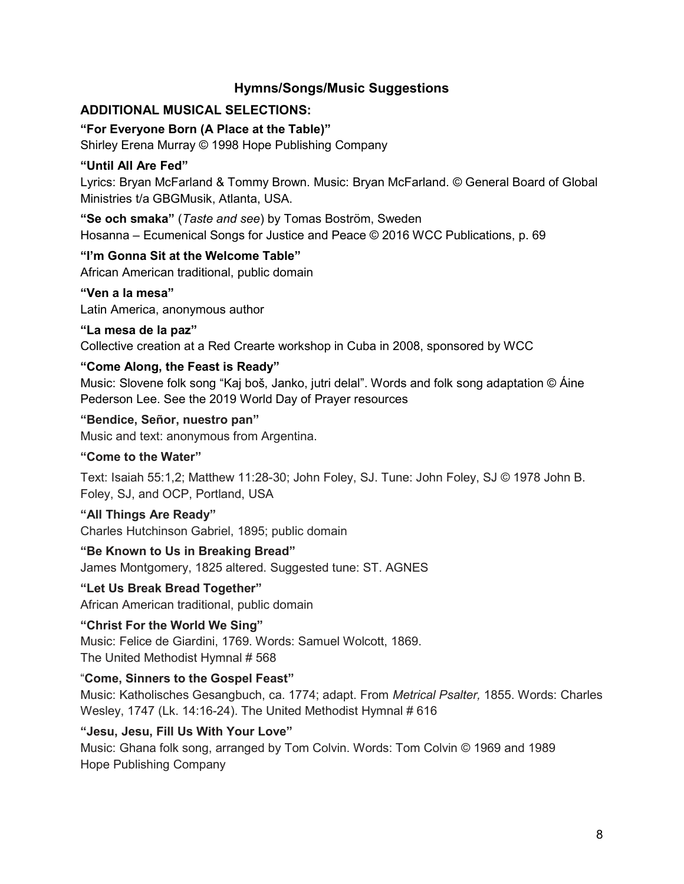# Hymns/Songs/Music Suggestions

# ADDITIONAL MUSICAL SELECTIONS:

# "For Everyone Born (A Place at the Table)"

Shirley Erena Murray © 1998 Hope Publishing Company

# "Until All Are Fed"

Lyrics: Bryan McFarland & Tommy Brown. Music: Bryan McFarland. © General Board of Global Ministries t/a GBGMusik, Atlanta, USA.

"Se och smaka" (Taste and see) by Tomas Boström, Sweden Hosanna – Ecumenical Songs for Justice and Peace © 2016 WCC Publications, p. 69

# "I'm Gonna Sit at the Welcome Table"

African American traditional, public domain

## "Ven a la mesa"

Latin America, anonymous author

## "La mesa de la paz"

Collective creation at a Red Crearte workshop in Cuba in 2008, sponsored by WCC

# "Come Along, the Feast is Ready"

Music: Slovene folk song "Kaj boš, Janko, jutri delal". Words and folk song adaptation © Áine Pederson Lee. See the 2019 World Day of Prayer resources

"Bendice, Señor, nuestro pan" Music and text: anonymous from Argentina.

# "Come to the Water"

Text: Isaiah 55:1,2; Matthew 11:28-30; John Foley, SJ. Tune: John Foley, SJ © 1978 John B. Foley, SJ, and OCP, Portland, USA

# "All Things Are Ready"

Charles Hutchinson Gabriel, 1895; public domain

# "Be Known to Us in Breaking Bread"

James Montgomery, 1825 altered. Suggested tune: ST. AGNES

# "Let Us Break Bread Together"

African American traditional, public domain

# "Christ For the World We Sing"

Music: Felice de Giardini, 1769. Words: Samuel Wolcott, 1869. The United Methodist Hymnal # 568

# "Come, Sinners to the Gospel Feast"

Music: Katholisches Gesangbuch, ca. 1774; adapt. From Metrical Psalter, 1855. Words: Charles Wesley, 1747 (Lk. 14:16-24). The United Methodist Hymnal # 616

# "Jesu, Jesu, Fill Us With Your Love"

Music: Ghana folk song, arranged by Tom Colvin. Words: Tom Colvin © 1969 and 1989 Hope Publishing Company